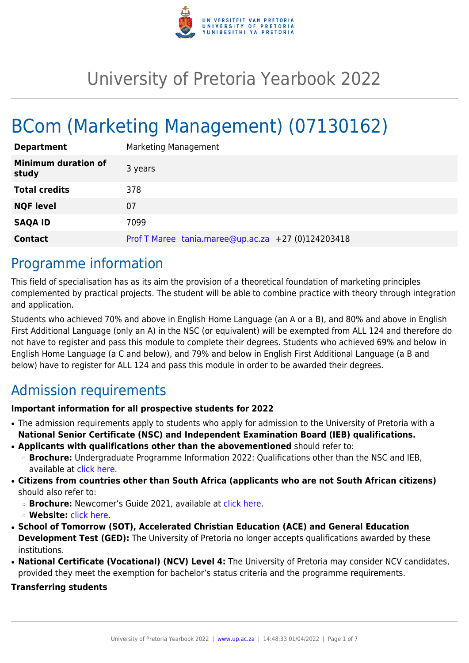

# University of Pretoria Yearbook 2022

# BCom (Marketing Management) (07130162)

| <b>Department</b>                   | Marketing Management                                |
|-------------------------------------|-----------------------------------------------------|
| <b>Minimum duration of</b><br>study | 3 years                                             |
| <b>Total credits</b>                | 378                                                 |
| <b>NQF level</b>                    | 07                                                  |
| <b>SAQA ID</b>                      | 7099                                                |
| <b>Contact</b>                      | Prof T Maree $tania.mace@up.ac.za$ +27 (0)124203418 |

### Programme information

This field of specialisation has as its aim the provision of a theoretical foundation of marketing principles complemented by practical projects. The student will be able to combine practice with theory through integration and application.

Students who achieved 70% and above in English Home Language (an A or a B), and 80% and above in English First Additional Language (only an A) in the NSC (or equivalent) will be exempted from ALL 124 and therefore do not have to register and pass this module to complete their degrees. Students who achieved 69% and below in English Home Language (a C and below), and 79% and below in English First Additional Language (a B and below) have to register for ALL 124 and pass this module in order to be awarded their degrees.

# Admission requirements

### **Important information for all prospective students for 2022**

- The admission requirements apply to students who apply for admission to the University of Pretoria with a **National Senior Certificate (NSC) and Independent Examination Board (IEB) qualifications.**
- **Applicants with qualifications other than the abovementioned** should refer to:
	- ❍ **Brochure:** Undergraduate Programme Information 2022: Qualifications other than the NSC and IEB, available at [click here.](https://www.up.ac.za/students/article/2749263/admission-information)
- **Citizens from countries other than South Africa (applicants who are not South African citizens)** should also refer to:
	- ❍ **Brochure:** Newcomer's Guide 2021, available at [click here.](https://www.up.ac.za/students/article/2749263/admission-information)
	- ❍ **Website:** [click here](http://www.up.ac.za/international-cooperation-division).
- **School of Tomorrow (SOT), Accelerated Christian Education (ACE) and General Education Development Test (GED):** The University of Pretoria no longer accepts qualifications awarded by these institutions.
- **National Certificate (Vocational) (NCV) Level 4:** The University of Pretoria may consider NCV candidates, provided they meet the exemption for bachelor's status criteria and the programme requirements.

### **Transferring students**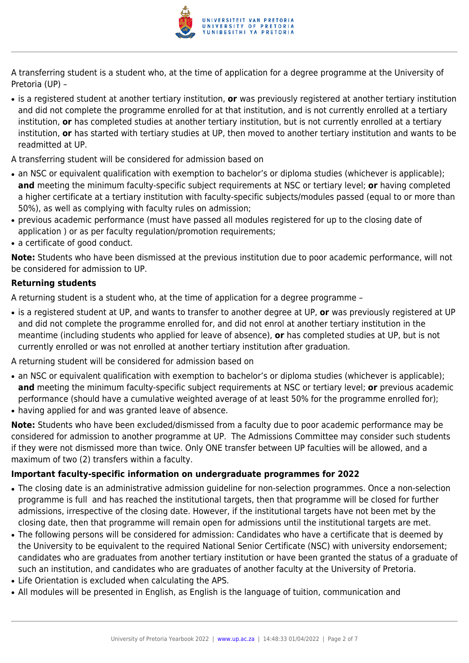

A transferring student is a student who, at the time of application for a degree programme at the University of Pretoria (UP) –

- is a registered student at another tertiary institution, **or** was previously registered at another tertiary institution and did not complete the programme enrolled for at that institution, and is not currently enrolled at a tertiary institution, **or** has completed studies at another tertiary institution, but is not currently enrolled at a tertiary institution, **or** has started with tertiary studies at UP, then moved to another tertiary institution and wants to be readmitted at UP.
- A transferring student will be considered for admission based on
- an NSC or equivalent qualification with exemption to bachelor's or diploma studies (whichever is applicable); **and** meeting the minimum faculty-specific subject requirements at NSC or tertiary level; **or** having completed a higher certificate at a tertiary institution with faculty-specific subjects/modules passed (equal to or more than 50%), as well as complying with faculty rules on admission;
- previous academic performance (must have passed all modules registered for up to the closing date of application ) or as per faculty regulation/promotion requirements;
- a certificate of good conduct.

**Note:** Students who have been dismissed at the previous institution due to poor academic performance, will not be considered for admission to UP.

### **Returning students**

A returning student is a student who, at the time of application for a degree programme –

● is a registered student at UP, and wants to transfer to another degree at UP, **or** was previously registered at UP and did not complete the programme enrolled for, and did not enrol at another tertiary institution in the meantime (including students who applied for leave of absence), **or** has completed studies at UP, but is not currently enrolled or was not enrolled at another tertiary institution after graduation.

A returning student will be considered for admission based on

- an NSC or equivalent qualification with exemption to bachelor's or diploma studies (whichever is applicable); **and** meeting the minimum faculty-specific subject requirements at NSC or tertiary level; **or** previous academic performance (should have a cumulative weighted average of at least 50% for the programme enrolled for);
- having applied for and was granted leave of absence.

**Note:** Students who have been excluded/dismissed from a faculty due to poor academic performance may be considered for admission to another programme at UP. The Admissions Committee may consider such students if they were not dismissed more than twice. Only ONE transfer between UP faculties will be allowed, and a maximum of two (2) transfers within a faculty.

### **Important faculty-specific information on undergraduate programmes for 2022**

- The closing date is an administrative admission guideline for non-selection programmes. Once a non-selection programme is full and has reached the institutional targets, then that programme will be closed for further admissions, irrespective of the closing date. However, if the institutional targets have not been met by the closing date, then that programme will remain open for admissions until the institutional targets are met.
- The following persons will be considered for admission: Candidates who have a certificate that is deemed by the University to be equivalent to the required National Senior Certificate (NSC) with university endorsement; candidates who are graduates from another tertiary institution or have been granted the status of a graduate of such an institution, and candidates who are graduates of another faculty at the University of Pretoria.
- Life Orientation is excluded when calculating the APS.
- All modules will be presented in English, as English is the language of tuition, communication and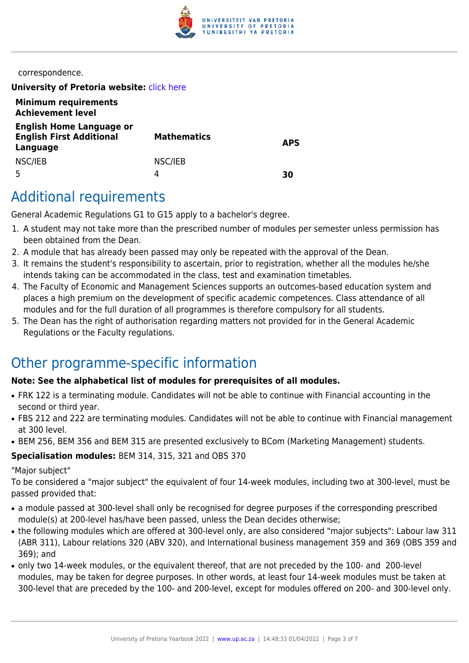

correspondence.

**University of Pretoria website: [click here](http://www.up.ac.za/ems)** 

| <b>Minimum requirements</b><br><b>Achievement level</b>                        |                    |            |
|--------------------------------------------------------------------------------|--------------------|------------|
| <b>English Home Language or</b><br><b>English First Additional</b><br>Language | <b>Mathematics</b> | <b>APS</b> |
| NSC/IEB                                                                        | NSC/IEB<br>4       | 30         |

# Additional requirements

General Academic Regulations G1 to G15 apply to a bachelor's degree.

- 1. A student may not take more than the prescribed number of modules per semester unless permission has been obtained from the Dean.
- 2. A module that has already been passed may only be repeated with the approval of the Dean.
- 3. It remains the student's responsibility to ascertain, prior to registration, whether all the modules he/she intends taking can be accommodated in the class, test and examination timetables.
- 4. The Faculty of Economic and Management Sciences supports an outcomes-based education system and places a high premium on the development of specific academic competences. Class attendance of all modules and for the full duration of all programmes is therefore compulsory for all students.
- 5. The Dean has the right of authorisation regarding matters not provided for in the General Academic Regulations or the Faculty regulations.

# Other programme-specific information

### **Note: See the alphabetical list of modules for prerequisites of all modules.**

- FRK 122 is a terminating module. Candidates will not be able to continue with Financial accounting in the second or third year.
- FBS 212 and 222 are terminating modules. Candidates will not be able to continue with Financial management at 300 level.
- BEM 256, BEM 356 and BEM 315 are presented exclusively to BCom (Marketing Management) students.

### **Specialisation modules:** BEM 314, 315, 321 and OBS 370

### "Major subject"

To be considered a "major subject" the equivalent of four 14-week modules, including two at 300-level, must be passed provided that:

- a module passed at 300-level shall only be recognised for degree purposes if the corresponding prescribed module(s) at 200-level has/have been passed, unless the Dean decides otherwise;
- the following modules which are offered at 300-level only, are also considered "major subjects": Labour law 311 (ABR 311), Labour relations 320 (ABV 320), and International business management 359 and 369 (OBS 359 and 369); and
- only two 14-week modules, or the equivalent thereof, that are not preceded by the 100- and 200-level modules, may be taken for degree purposes. In other words, at least four 14-week modules must be taken at 300-level that are preceded by the 100- and 200-level, except for modules offered on 200- and 300-level only.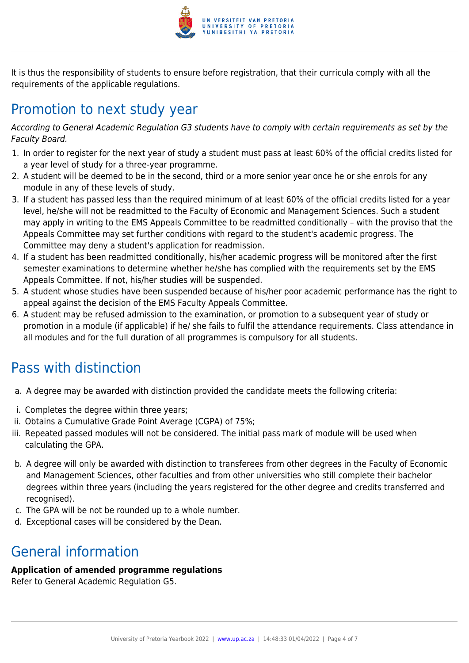

It is thus the responsibility of students to ensure before registration, that their curricula comply with all the requirements of the applicable regulations.

# Promotion to next study year

According to General Academic Regulation G3 students have to comply with certain requirements as set by the Faculty Board.

- 1. In order to register for the next year of study a student must pass at least 60% of the official credits listed for a year level of study for a three-year programme.
- 2. A student will be deemed to be in the second, third or a more senior year once he or she enrols for any module in any of these levels of study.
- 3. If a student has passed less than the required minimum of at least 60% of the official credits listed for a year level, he/she will not be readmitted to the Faculty of Economic and Management Sciences. Such a student may apply in writing to the EMS Appeals Committee to be readmitted conditionally – with the proviso that the Appeals Committee may set further conditions with regard to the student's academic progress. The Committee may deny a student's application for readmission.
- 4. If a student has been readmitted conditionally, his/her academic progress will be monitored after the first semester examinations to determine whether he/she has complied with the requirements set by the EMS Appeals Committee. If not, his/her studies will be suspended.
- 5. A student whose studies have been suspended because of his/her poor academic performance has the right to appeal against the decision of the EMS Faculty Appeals Committee.
- 6. A student may be refused admission to the examination, or promotion to a subsequent year of study or promotion in a module (if applicable) if he/ she fails to fulfil the attendance requirements. Class attendance in all modules and for the full duration of all programmes is compulsory for all students.

# Pass with distinction

- a. A degree may be awarded with distinction provided the candidate meets the following criteria:
- i. Completes the degree within three years;
- ii. Obtains a Cumulative Grade Point Average (CGPA) of 75%;
- iii. Repeated passed modules will not be considered. The initial pass mark of module will be used when calculating the GPA.
- b. A degree will only be awarded with distinction to transferees from other degrees in the Faculty of Economic and Management Sciences, other faculties and from other universities who still complete their bachelor degrees within three years (including the years registered for the other degree and credits transferred and recognised).
- c. The GPA will be not be rounded up to a whole number.
- d. Exceptional cases will be considered by the Dean.

# General information

### **Application of amended programme regulations**

Refer to General Academic Regulation G5.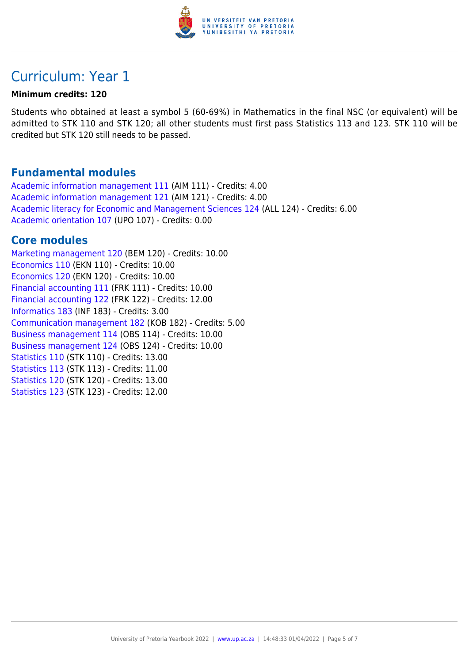

# Curriculum: Year 1

### **Minimum credits: 120**

Students who obtained at least a symbol 5 (60-69%) in Mathematics in the final NSC (or equivalent) will be admitted to STK 110 and STK 120; all other students must first pass Statistics 113 and 123. STK 110 will be credited but STK 120 still needs to be passed.

### **Fundamental modules**

[Academic information management 111](https://www.up.ac.za/yearbooks/2022/modules/view/AIM 111) (AIM 111) - Credits: 4.00 [Academic information management 121](https://www.up.ac.za/yearbooks/2022/modules/view/AIM 121) (AIM 121) - Credits: 4.00 [Academic literacy for Economic and Management Sciences 124](https://www.up.ac.za/yearbooks/2022/modules/view/ALL 124) (ALL 124) - Credits: 6.00 [Academic orientation 107](https://www.up.ac.za/yearbooks/2022/modules/view/UPO 107) (UPO 107) - Credits: 0.00

### **Core modules**

[Marketing management 120](https://www.up.ac.za/yearbooks/2022/modules/view/BEM 120) (BEM 120) - Credits: 10.00 [Economics 110](https://www.up.ac.za/yearbooks/2022/modules/view/EKN 110) (EKN 110) - Credits: 10.00 [Economics 120](https://www.up.ac.za/yearbooks/2022/modules/view/EKN 120) (EKN 120) - Credits: 10.00 [Financial accounting 111](https://www.up.ac.za/yearbooks/2022/modules/view/FRK 111) (FRK 111) - Credits: 10.00 [Financial accounting 122](https://www.up.ac.za/yearbooks/2022/modules/view/FRK 122) (FRK 122) - Credits: 12.00 [Informatics 183](https://www.up.ac.za/yearbooks/2022/modules/view/INF 183) (INF 183) - Credits: 3.00 [Communication management 182](https://www.up.ac.za/yearbooks/2022/modules/view/KOB 182) (KOB 182) - Credits: 5.00 [Business management 114](https://www.up.ac.za/yearbooks/2022/modules/view/OBS 114) (OBS 114) - Credits: 10.00 [Business management 124](https://www.up.ac.za/yearbooks/2022/modules/view/OBS 124) (OBS 124) - Credits: 10.00 [Statistics 110](https://www.up.ac.za/yearbooks/2022/modules/view/STK 110) (STK 110) - Credits: 13.00 [Statistics 113](https://www.up.ac.za/yearbooks/2022/modules/view/STK 113) (STK 113) - Credits: 11.00 [Statistics 120](https://www.up.ac.za/yearbooks/2022/modules/view/STK 120) (STK 120) - Credits: 13.00 [Statistics 123](https://www.up.ac.za/yearbooks/2022/modules/view/STK 123) (STK 123) - Credits: 12.00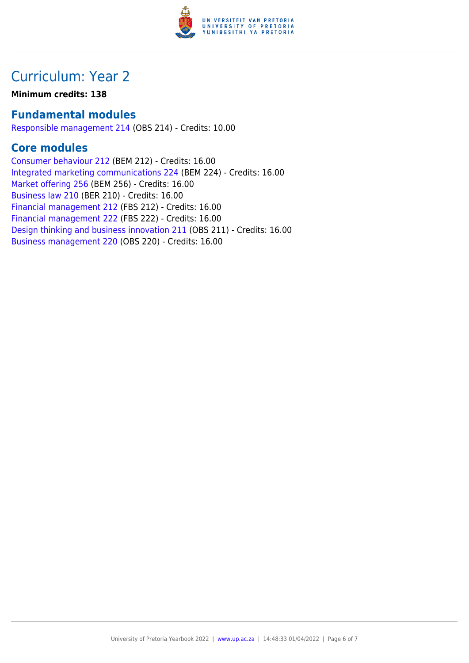

# Curriculum: Year 2

**Minimum credits: 138**

### **Fundamental modules**

[Responsible management 214](https://www.up.ac.za/yearbooks/2022/modules/view/OBS 214) (OBS 214) - Credits: 10.00

### **Core modules**

[Consumer behaviour 212](https://www.up.ac.za/yearbooks/2022/modules/view/BEM 212) (BEM 212) - Credits: 16.00 [Integrated marketing communications 224](https://www.up.ac.za/yearbooks/2022/modules/view/BEM 224) (BEM 224) - Credits: 16.00 [Market offering 256](https://www.up.ac.za/yearbooks/2022/modules/view/BEM 256) (BEM 256) - Credits: 16.00 [Business law 210](https://www.up.ac.za/yearbooks/2022/modules/view/BER 210) (BER 210) - Credits: 16.00 [Financial management 212](https://www.up.ac.za/yearbooks/2022/modules/view/FBS 212) (FBS 212) - Credits: 16.00 [Financial management 222](https://www.up.ac.za/yearbooks/2022/modules/view/FBS 222) (FBS 222) - Credits: 16.00 [Design thinking and business innovation 211](https://www.up.ac.za/yearbooks/2022/modules/view/OBS 211) (OBS 211) - Credits: 16.00 [Business management 220](https://www.up.ac.za/yearbooks/2022/modules/view/OBS 220) (OBS 220) - Credits: 16.00